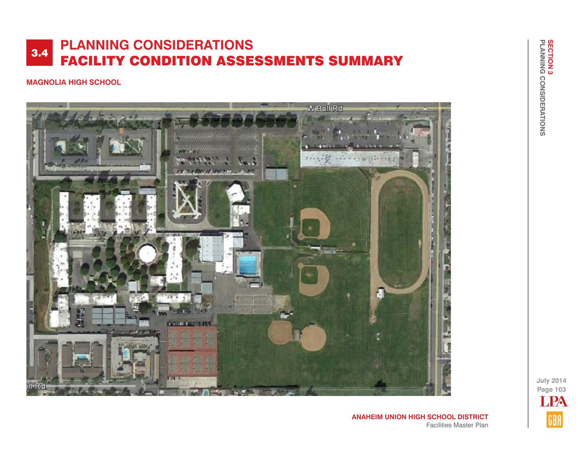### **MAGNOLIA HIGH SCHOOL**



**ANAHEIM UNION HIGH SCHOOL DISTRICT** Facilities Master Plan **July 2014 Page 103** LPAGBA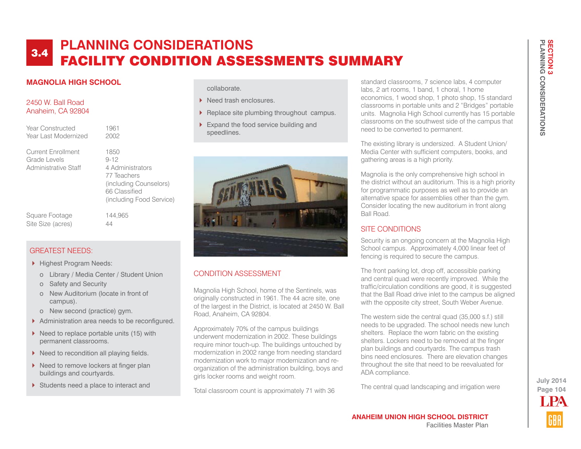### **MAGNOLIA HIGH SCHOOL**

#### 2450 W. Ball Road Anaheim, CA 92804

| Year Constructed     |
|----------------------|
| Year Last Modernized |

Current Enrollment 1850 Grade Levels 9-12 Administrative Staff 4 Administrators

 77 Teachers (including Counselors) 66 Classified (including Food Service)

1961 2002

Square Footage 144,965 Site Size (acres) 44

### GREATEST NEEDS:

- ▶ Highest Program Needs:
	- o Library / Media Center / Student Union
	- o Safety and Security
	- o New Auditorium (locate in front of campus).
	- o New second (practice) gym.
- Administration area needs to be reconfigured.
- $\triangleright$  Need to replace portable units (15) with permanent classrooms.
- $\triangleright$  Need to recondition all playing fields.
- $\blacktriangleright$  Need to remove lockers at finger plan buildings and courtyards.
- Students need a place to interact and

collaborate.

- Need trash enclosures.
- Replace site plumbing throughout campus.
- Expand the food service building and speedlines.



## CONDITION ASSESSMENT

Magnolia High School, home of the Sentinels, was originally constructed in 1961. The 44 acre site, one of the largest in the District, is located at 2450 W. Ball Road, Anaheim, CA 92804.

Approximately 70% of the campus buildings underwent modernization in 2002. These buildings require minor touch-up. The buildings untouched by modernization in 2002 range from needing standard modernization work to major modernization and reorganization of the administration building, boys and girls locker rooms and weight room.

Total classroom count is approximately 71 with 36

standard classrooms, 7 science labs, 4 computer labs, 2 art rooms, 1 band, 1 choral, 1 home economics, 1 wood shop, 1 photo shop, 15 standard classrooms in portable units and 2 "Bridges" portable units. Magnolia High School currently has 15 portable classrooms on the southwest side of the campus that need to be converted to permanent.

The existing library is undersized. A Student Union/ Media Center with sufficient computers, books, and gathering areas is a high priority.

Magnolia is the only comprehensive high school in the district without an auditorium. This is a high priority for programmatic purposes as well as to provide an alternative space for assemblies other than the gym. Consider locating the new auditorium in front along Ball Road.

## SITE CONDITIONS

Security is an ongoing concern at the Magnolia High School campus. Approximately 4,000 linear feet of fencing is required to secure the campus.

The front parking lot, drop off, accessible parking and central quad were recently improved. While the traffic/circulation conditions are good, it is suggested that the Ball Road drive inlet to the campus be aligned with the opposite city street. South Weber Avenue.

The western side the central quad (35,000 s.f.) still needs to be upgraded. The school needs new lunch shelters. Replace the worn fabric on the existing shelters. Lockers need to be removed at the finger plan buildings and courtyards. The campus trash bins need enclosures. There are elevation changes throughout the site that need to be reevaluated for ADA compliance.

The central quad landscaping and irrigation were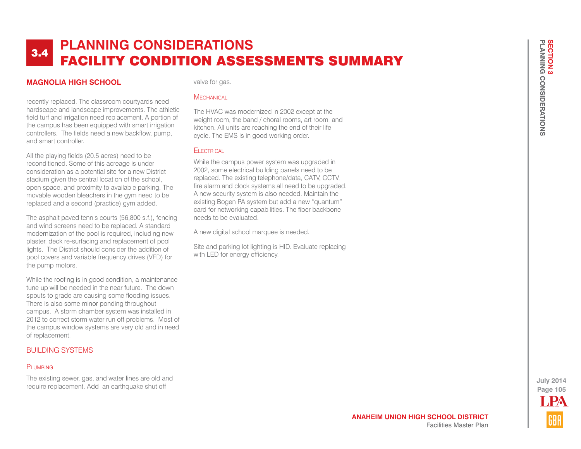### **MAGNOLIA HIGH SCHOOL**

recently replaced. The classroom courtyards need hardscape and landscape improvements. The athletic field turf and irrigation need replacement. A portion of the campus has been equipped with smart irrigation controllers. The fields need a new backflow, pump, and smart controller.

All the playing fields (20.5 acres) need to be reconditioned. Some of this acreage is under consideration as a potential site for a new District stadium given the central location of the school, open space, and proximity to available parking. The movable wooden bleachers in the gym need to be replaced and a second (practice) gym added.

The asphalt paved tennis courts (56,800 s.f.), fencing and wind screens need to be replaced. A standard modernization of the pool is required, including new plaster, deck re-surfacing and replacement of pool lights. The District should consider the addition of pool covers and variable frequency drives (VFD) for the pump motors.

While the roofing is in good condition, a maintenance tune up will be needed in the near future. The down spouts to grade are causing some flooding issues. There is also some minor ponding throughout campus. A storm chamber system was installed in 2012 to correct storm water run off problems. Most of the campus window systems are very old and in need of replacement.

#### BUILDING SYSTEMS

#### PLUMBING

The existing sewer, gas, and water lines are old and require replacement. Add an earthquake shut off

valve for gas.

#### **MECHANICAL**

The HVAC was modernized in 2002 except at the weight room, the band / choral rooms, art room, and kitchen. All units are reaching the end of their life cycle. The EMS is in good working order.

#### **ELECTRICAL**

While the campus power system was upgraded in 2002, some electrical building panels need to be replaced. The existing telephone/data, CATV, CCTV, fire alarm and clock systems all need to be upgraded. A new security system is also needed. Maintain the existing Bogen PA system but add a new "quantum" card for networking capabilities. The fiber backbone needs to be evaluated.

A new digital school marquee is needed.

Site and parking lot lighting is HID. Evaluate replacing with LED for energy efficiency.

> **Page 105 July 2014** LPA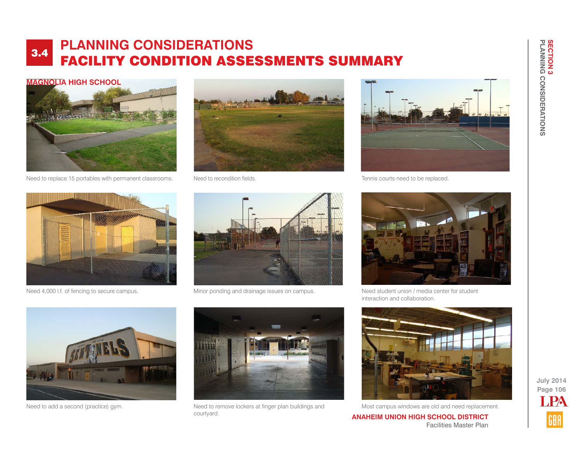#### **MAGNOLIA HIGH SCHOOL**



Need to replace 15 portables with permanent classrooms. Need to recondition fields.





Tennis courts need to be replaced.





Need 4,000 l.f. of fencing to secure campus. Minor ponding and drainage issues on campus.



Need student union / media center for student interaction and collaboration.





Need to add a second (practice) gym. Need to remove lockers at finger plan buildings and courtyard.



Most campus windows are old and need replacement.

**ANAHEIM UNION HIGH SCHOOL DISTRICT** Facilities Master Plan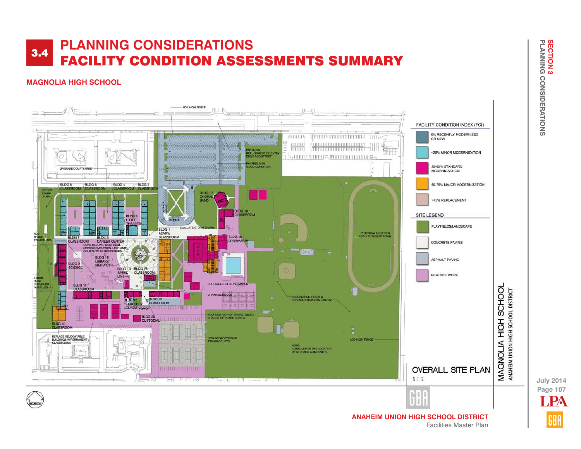## **MAGNOLIA HIGH SCHOOL**



**Page 107 July 2014** LPA